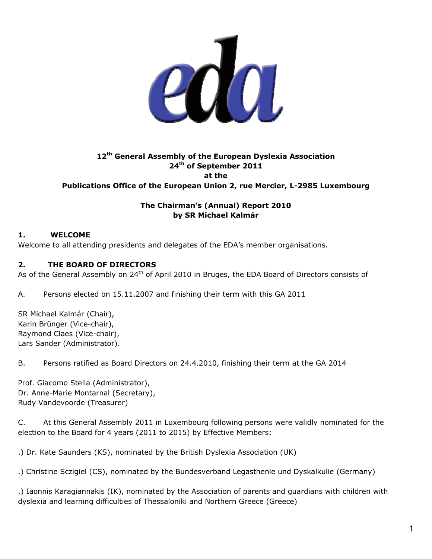

# **12th General Assembly of the European Dyslexia Association 24th of September 2011 at the Publications Office of the European Union 2, rue Mercier, L-2985 Luxembourg**

## **The Chairman's (Annual) Report 2010 by SR Michael Kalmár**

# **1. WELCOME**

Welcome to all attending presidents and delegates of the EDA's member organisations.

## **2. THE BOARD OF DIRECTORS**

As of the General Assembly on 24<sup>th</sup> of April 2010 in Bruges, the EDA Board of Directors consists of

A. Persons elected on 15.11.2007 and finishing their term with this GA 2011

SR Michael Kalmár (Chair), Karin Brünger (Vice-chair), Raymond Claes (Vice-chair), Lars Sander (Administrator).

B. Persons ratified as Board Directors on 24.4.2010, finishing their term at the GA 2014

Prof. Giacomo Stella (Administrator), Dr. Anne-Marie Montarnal (Secretary), Rudy Vandevoorde (Treasurer)

C. At this General Assembly 2011 in Luxembourg following persons were validly nominated for the election to the Board for 4 years (2011 to 2015) by Effective Members:

.) Dr. Kate Saunders (KS), nominated by the British Dyslexia Association (UK)

.) Christine Sczigiel (CS), nominated by the Bundesverband Legasthenie und Dyskalkulie (Germany)

.) Iaonnis Karagiannakis (IK), nominated by the Association of parents and guardians with children with dyslexia and learning difficulties of Thessaloniki and Northern Greece (Greece)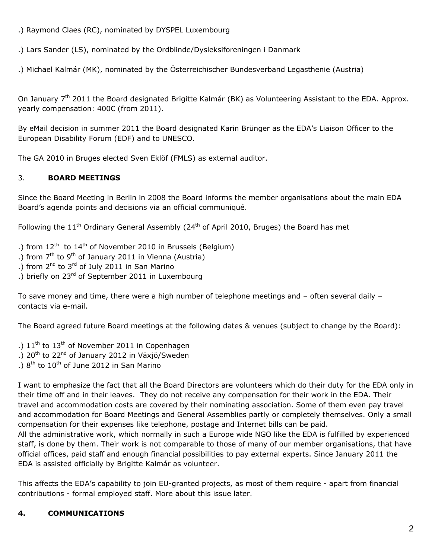.) Raymond Claes (RC), nominated by DYSPEL Luxembourg

.) Lars Sander (LS), nominated by the Ordblinde/Dysleksiforeningen i Danmark

.) Michael Kalmár (MK), nominated by the Österreichischer Bundesverband Legasthenie (Austria)

On January 7<sup>th</sup> 2011 the Board designated Brigitte Kalmár (BK) as Volunteering Assistant to the EDA. Approx. yearly compensation: 400€ (from 2011).

By eMail decision in summer 2011 the Board designated Karin Brünger as the EDA's Liaison Officer to the European Disability Forum (EDF) and to UNESCO.

The GA 2010 in Bruges elected Sven Eklöf (FMLS) as external auditor.

# 3. **BOARD MEETINGS**

Since the Board Meeting in Berlin in 2008 the Board informs the member organisations about the main EDA Board's agenda points and decisions via an official communiqué.

Following the  $11<sup>th</sup>$  Ordinary General Assembly (24<sup>th</sup> of April 2010, Bruges) the Board has met

.) from  $12^{th}$  to  $14^{th}$  of November 2010 in Brussels (Belgium)

- .) from  $7<sup>th</sup>$  to  $9<sup>th</sup>$  of January 2011 in Vienna (Austria)
- .) from  $2^{nd}$  to  $3^{rd}$  of July 2011 in San Marino
- .) briefly on 23<sup>rd</sup> of September 2011 in Luxembourg

To save money and time, there were a high number of telephone meetings and – often several daily – contacts via e-mail.

The Board agreed future Board meetings at the following dates & venues (subject to change by the Board):

.)  $11^{\text{th}}$  to  $13^{\text{th}}$  of November 2011 in Copenhagen .)  $20^{th}$  to  $22^{nd}$  of January 2012 in Växjö/Sweden

.)  $8<sup>th</sup>$  to  $10<sup>th</sup>$  of June 2012 in San Marino

I want to emphasize the fact that all the Board Directors are volunteers which do their duty for the EDA only in their time off and in their leaves. They do not receive any compensation for their work in the EDA. Their travel and accommodation costs are covered by their nominating association. Some of them even pay travel and accommodation for Board Meetings and General Assemblies partly or completely themselves. Only a small compensation for their expenses like telephone, postage and Internet bills can be paid.

All the administrative work, which normally in such a Europe wide NGO like the EDA is fulfilled by experienced staff, is done by them. Their work is not comparable to those of many of our member organisations, that have official offices, paid staff and enough financial possibilities to pay external experts. Since January 2011 the EDA is assisted officially by Brigitte Kalmár as volunteer.

This affects the EDA's capability to join EU-granted projects, as most of them require - apart from financial contributions - formal employed staff. More about this issue later.

# **4. COMMUNICATIONS**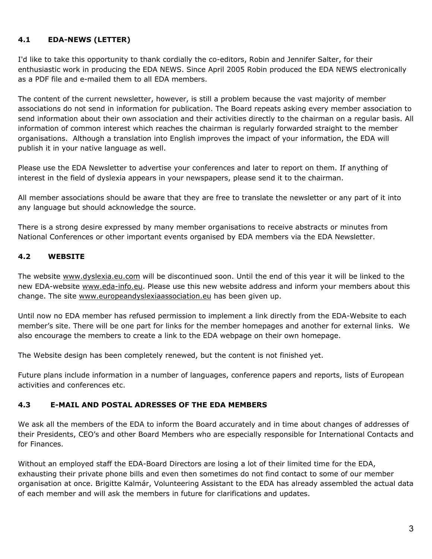## **4.1 EDA-NEWS (LETTER)**

I'd like to take this opportunity to thank cordially the co-editors, Robin and Jennifer Salter, for their enthusiastic work in producing the EDA NEWS. Since April 2005 Robin produced the EDA NEWS electronically as a PDF file and e-mailed them to all EDA members.

The content of the current newsletter, however, is still a problem because the vast majority of member associations do not send in information for publication. The Board repeats asking every member association to send information about their own association and their activities directly to the chairman on a regular basis. All information of common interest which reaches the chairman is regularly forwarded straight to the member organisations. Although a translation into English improves the impact of your information, the EDA will publish it in your native language as well.

Please use the EDA Newsletter to advertise your conferences and later to report on them. If anything of interest in the field of dyslexia appears in your newspapers, please send it to the chairman.

All member associations should be aware that they are free to translate the newsletter or any part of it into any language but should acknowledge the source.

There is a strong desire expressed by many member organisations to receive abstracts or minutes from National Conferences or other important events organised by EDA members via the EDA Newsletter.

## **4.2 WEBSITE**

The website [www.dyslexia.eu.com](http://www.dyslexia.eu.com/) will be discontinued soon. Until the end of this year it will be linked to the new EDA-website [www.eda-info.eu](http://www.eda-info.eu/). Please use this new website address and inform your members about this change. The site [www.europeandyslexiaassociation.eu](http://www.europeandyslexiaassociation.eu/) has been given up.

Until now no EDA member has refused permission to implement a link directly from the EDA-Website to each member's site. There will be one part for links for the member homepages and another for external links. We also encourage the members to create a link to the EDA webpage on their own homepage.

The Website design has been completely renewed, but the content is not finished yet.

Future plans include information in a number of languages, conference papers and reports, lists of European activities and conferences etc.

### **4.3 E-MAIL AND POSTAL ADRESSES OF THE EDA MEMBERS**

We ask all the members of the EDA to inform the Board accurately and in time about changes of addresses of their Presidents, CEO's and other Board Members who are especially responsible for International Contacts and for Finances.

Without an employed staff the EDA-Board Directors are losing a lot of their limited time for the EDA, exhausting their private phone bills and even then sometimes do not find contact to some of our member organisation at once. Brigitte Kalmár, Volunteering Assistant to the EDA has already assembled the actual data of each member and will ask the members in future for clarifications and updates.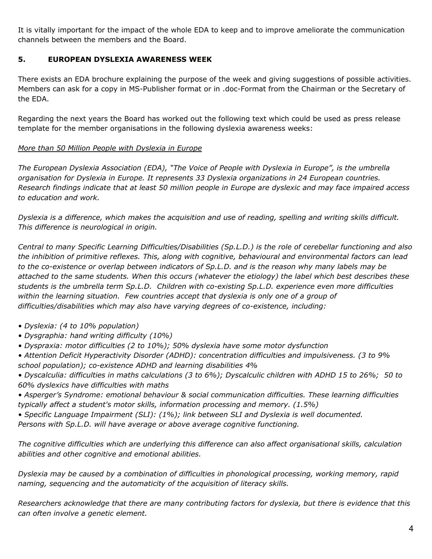It is vitally important for the impact of the whole EDA to keep and to improve ameliorate the communication channels between the members and the Board.

### **5. EUROPEAN DYSLEXIA AWARENESS WEEK**

There exists an EDA brochure explaining the purpose of the week and giving suggestions of possible activities. Members can ask for a copy in MS-Publisher format or in .doc-Format from the Chairman or the Secretary of the EDA.

Regarding the next years the Board has worked out the following text which could be used as press release template for the member organisations in the following dyslexia awareness weeks:

## *More than 50 Million People with Dyslexia in Europe*

*The European Dyslexia Association (EDA), "The Voice of People with Dyslexia in Europe", is the umbrella organisation for Dyslexia in Europe. It represents 33 Dyslexia organizations in 24 European countries. Research findings indicate that at least 50 million people in Europe are dyslexic and may face impaired access to education and work.* 

*Dyslexia is a difference, which makes the acquisition and use of reading, spelling and writing skills difficult. This difference is neurological in origin.* 

*Central to many Specific Learning Difficulties/Disabilities (Sp.L.D.) is the role of cerebellar functioning and also the inhibition of primitive reflexes. This, along with cognitive, behavioural and environmental factors can lead to the co-existence or overlap between indicators of Sp.L.D. and is the reason why many labels may be attached to the same students. When this occurs (whatever the etiology) the label which best describes these students is the umbrella term Sp.L.D. Children with co-existing Sp.L.D. experience even more difficulties within the learning situation. Few countries accept that dyslexia is only one of a group of difficulties/disabilities which may also have varying degrees of co-existence, including:* 

- *Dyslexia: (4 to 10% population)*
- *Dysgraphia: hand writing difficulty (10%)*
- *Dyspraxia: motor difficulties (2 to 10%); 50% dyslexia have some motor dysfunction*
- *Attention Deficit Hyperactivity Disorder (ADHD): concentration difficulties and impulsiveness. (3 to 9% school population); co-existence ADHD and learning disabilities 4%*

*• Dyscalculia: difficulties in maths calculations (3 to 6%); Dyscalculic children with ADHD 15 to 26%; 50 to 60% dyslexics have difficulties with maths* 

- *Asperger's Syndrome: emotional behaviour & social communication difficulties. These learning difficulties typically affect a student's motor skills, information processing and memory. (1.5%)*
- *Specific Language Impairment (SLI): (1%); link between SLI and Dyslexia is well documented.*

*Persons with Sp.L.D. will have average or above average cognitive functioning.* 

*The cognitive difficulties which are underlying this difference can also affect organisational skills, calculation abilities and other cognitive and emotional abilities.* 

*Dyslexia may be caused by a combination of difficulties in phonological processing, working memory, rapid naming, sequencing and the automaticity of the acquisition of literacy skills.* 

*Researchers acknowledge that there are many contributing factors for dyslexia, but there is evidence that this can often involve a genetic element.*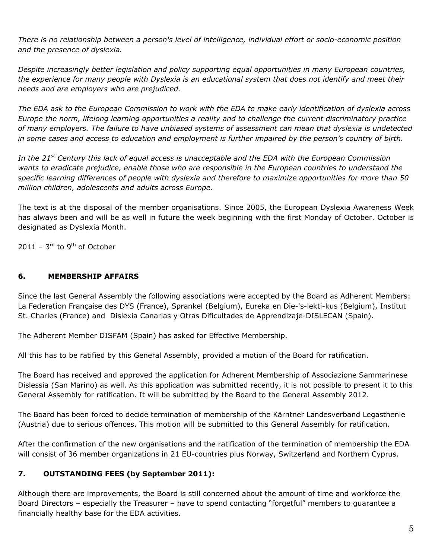*There is no relationship between a person's level of intelligence, individual effort or socio-economic position and the presence of dyslexia.* 

*Despite increasingly better legislation and policy supporting equal opportunities in many European countries, the experience for many people with Dyslexia is an educational system that does not identify and meet their needs and are employers who are prejudiced.* 

*The EDA ask to the European Commission to work with the EDA to make early identification of dyslexia across Europe the norm, lifelong learning opportunities a reality and to challenge the current discriminatory practice of many employers. The failure to have unbiased systems of assessment can mean that dyslexia is undetected in some cases and access to education and employment is further impaired by the person's country of birth.* 

*In the 21st Century this lack of equal access is unacceptable and the EDA with the European Commission wants to eradicate prejudice, enable those who are responsible in the European countries to understand the specific learning differences of people with dyslexia and therefore to maximize opportunities for more than 50 million children, adolescents and adults across Europe.* 

The text is at the disposal of the member organisations. Since 2005, the European Dyslexia Awareness Week has always been and will be as well in future the week beginning with the first Monday of October. October is designated as Dyslexia Month.

 $2011 - 3<sup>rd</sup>$  to 9<sup>th</sup> of October

### **6. MEMBERSHIP AFFAIRS**

Since the last General Assembly the following associations were accepted by the Board as Adherent Members: La Federation Française des DYS (France), Sprankel (Belgium), Eureka en Die-'s-lekti-kus (Belgium), Institut St. Charles (France) and Dislexia Canarias y Otras Dificultades de Apprendizaje-DISLECAN (Spain).

The Adherent Member DISFAM (Spain) has asked for Effective Membership.

All this has to be ratified by this General Assembly, provided a motion of the Board for ratification.

The Board has received and approved the application for Adherent Membership of Associazione Sammarinese Dislessia (San Marino) as well. As this application was submitted recently, it is not possible to present it to this General Assembly for ratification. It will be submitted by the Board to the General Assembly 2012.

The Board has been forced to decide termination of membership of the Kärntner Landesverband Legasthenie (Austria) due to serious offences. This motion will be submitted to this General Assembly for ratification.

After the confirmation of the new organisations and the ratification of the termination of membership the EDA will consist of 36 member organizations in 21 EU-countries plus Norway, Switzerland and Northern Cyprus.

## **7. OUTSTANDING FEES (by September 2011):**

Although there are improvements, the Board is still concerned about the amount of time and workforce the Board Directors – especially the Treasurer – have to spend contacting "forgetful" members to guarantee a financially healthy base for the EDA activities.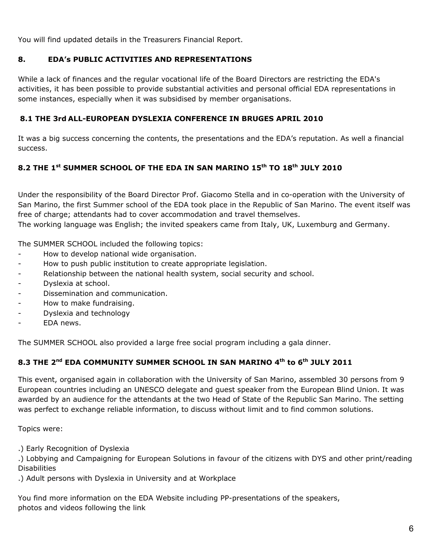You will find updated details in the Treasurers Financial Report.

## **8. EDA's PUBLIC ACTIVITIES AND REPRESENTATIONS**

While a lack of finances and the regular vocational life of the Board Directors are restricting the EDA's activities, it has been possible to provide substantial activities and personal official EDA representations in some instances, especially when it was subsidised by member organisations.

## **8.1 THE 3rd ALL-EUROPEAN DYSLEXIA CONFERENCE IN BRUGES APRIL 2010**

It was a big success concerning the contents, the presentations and the EDA's reputation. As well a financial success.

# **8.2 THE 1st SUMMER SCHOOL OF THE EDA IN SAN MARINO 15th TO 18th JULY 2010**

Under the responsibility of the Board Director Prof. Giacomo Stella and in co-operation with the University of San Marino, the first Summer school of the EDA took place in the Republic of San Marino. The event itself was free of charge; attendants had to cover accommodation and travel themselves.

The working language was English; the invited speakers came from Italy, UK, Luxemburg and Germany.

The SUMMER SCHOOL included the following topics:

- How to develop national wide organisation.
- How to push public institution to create appropriate legislation.
- Relationship between the national health system, social security and school.
- Dyslexia at school.
- Dissemination and communication.
- How to make fundraising.
- Dyslexia and technology
- EDA news.

The SUMMER SCHOOL also provided a large free social program including a gala dinner.

# **8.3 THE 2nd EDA COMMUNITY SUMMER SCHOOL IN SAN MARINO 4th to 6th JULY 2011**

This event, organised again in collaboration with the University of San Marino, assembled 30 persons from 9 European countries including an UNESCO delegate and guest speaker from the European Blind Union. It was awarded by an audience for the attendants at the two Head of State of the Republic San Marino. The setting was perfect to exchange reliable information, to discuss without limit and to find common solutions.

Topics were:

.) Early Recognition of Dyslexia

.) Lobbying and Campaigning for European Solutions in favour of the citizens with DYS and other print/reading **Disabilities** 

.) Adult persons with Dyslexia in University and at Workplace

You find more information on the EDA Website including PP-presentations of the speakers, photos and videos following the link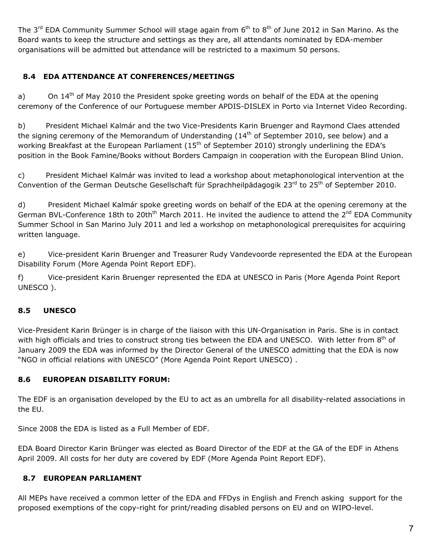The 3<sup>rd</sup> EDA Community Summer School will stage again from 6<sup>th</sup> to 8<sup>th</sup> of June 2012 in San Marino. As the Board wants to keep the structure and settings as they are, all attendants nominated by EDA-member organisations will be admitted but attendance will be restricted to a maximum 50 persons.

# **8.4 EDA ATTENDANCE AT CONFERENCES/MEETINGS**

a) On 14<sup>th</sup> of May 2010 the President spoke greeting words on behalf of the EDA at the opening ceremony of the Conference of our Portuguese member APDIS-DISLEX in Porto via Internet Video Recording.

b) President Michael Kalmár and the two Vice-Presidents Karin Bruenger and Raymond Claes attended the signing ceremony of the Memorandum of Understanding  $(14<sup>th</sup>$  of September 2010, see below) and a working Breakfast at the European Parliament (15<sup>th</sup> of September 2010) strongly underlining the EDA's position in the Book Famine/Books without Borders Campaign in cooperation with the European Blind Union.

c) President Michael Kalmár was invited to lead a workshop about metaphonological intervention at the Convention of the German Deutsche Gesellschaft für Sprachheilpädagogik 23<sup>rd</sup> to 25<sup>th</sup> of September 2010.

d) President Michael Kalmár spoke greeting words on behalf of the EDA at the opening ceremony at the German BVL-Conference 18th to 20th<sup>th</sup> March 2011. He invited the audience to attend the 2<sup>nd</sup> EDA Community Summer School in San Marino July 2011 and led a workshop on metaphonological prerequisites for acquiring written language.

e) Vice-president Karin Bruenger and Treasurer Rudy Vandevoorde represented the EDA at the European Disability Forum (More Agenda Point Report EDF).

f) Vice-president Karin Bruenger represented the EDA at UNESCO in Paris (More Agenda Point Report UNESCO ).

# **8.5 UNESCO**

Vice-President Karin Brünger is in charge of the liaison with this UN-Organisation in Paris. She is in contact with high officials and tries to construct strong ties between the EDA and UNESCO. With letter from 8<sup>th</sup> of January 2009 the EDA was informed by the Director General of the UNESCO admitting that the EDA is now "NGO in official relations with UNESCO" (More Agenda Point Report UNESCO) .

## **8.6 EUROPEAN DISABILITY FORUM:**

The EDF is an organisation developed by the EU to act as an umbrella for all disability-related associations in the EU.

Since 2008 the EDA is listed as a Full Member of EDF.

EDA Board Director Karin Brünger was elected as Board Director of the EDF at the GA of the EDF in Athens April 2009. All costs for her duty are covered by EDF (More Agenda Point Report EDF).

## **8.7 EUROPEAN PARLIAMENT**

All MEPs have received a common letter of the EDA and FFDys in English and French asking support for the proposed exemptions of the copy-right for print/reading disabled persons on EU and on WIPO-level.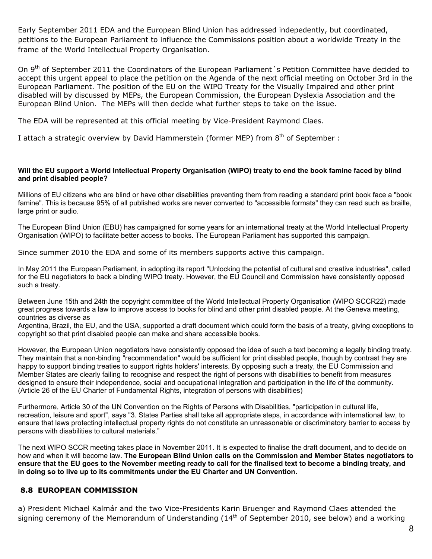Early September 2011 EDA and the European Blind Union has addressed indepedently, but coordinated, petitions to the European Parliament to influence the Commissions position about a worldwide Treaty in the frame of the World Intellectual Property Organisation.

On 9<sup>th</sup> of September 2011 the Coordinators of the European Parliament's Petition Committee have decided to accept this urgent appeal to place the petition on the Agenda of the next official meeting on October 3rd in the European Parliament. The position of the EU on the WIPO Treaty for the Visually Impaired and other print disabled will by discussed by MEPs, the European Commission, the European Dyslexia Association and the European Blind Union. The MEPs will then decide what further steps to take on the issue.

The EDA will be represented at this official meeting by Vice-President Raymond Claes.

I attach a strategic overview by David Hammerstein (former MEP) from  $8<sup>th</sup>$  of September :

#### **Will the EU support a World Intellectual Property Organisation (WIPO) treaty to end the book famine faced by blind and print disabled people?**

Millions of EU citizens who are blind or have other disabilities preventing them from reading a standard print book face a "book famine". This is because 95% of all published works are never converted to "accessible formats" they can read such as braille, large print or audio.

The European Blind Union (EBU) has campaigned for some years for an international treaty at the World Intellectual Property Organisation (WIPO) to facilitate better access to books. The European Parliament has supported this campaign.

Since summer 2010 the EDA and some of its members supports active this campaign.

In May 2011 the European Parliament, in adopting its report "Unlocking the potential of cultural and creative industries", called for the EU negotiators to back a binding WIPO treaty. However, the EU Council and Commission have consistently opposed such a treaty.

Between June 15th and 24th the copyright committee of the World Intellectual Property Organisation (WIPO SCCR22) made great progress towards a law to improve access to books for blind and other print disabled people. At the Geneva meeting, countries as diverse as

Argentina, Brazil, the EU, and the USA, supported a draft document which could form the basis of a treaty, giving exceptions to copyright so that print disabled people can make and share accessible books.

However, the European Union negotiators have consistently opposed the idea of such a text becoming a legally binding treaty. They maintain that a non-binding "recommendation" would be sufficient for print disabled people, though by contrast they are happy to support binding treaties to support rights holders' interests. By opposing such a treaty, the EU Commission and Member States are clearly failing to recognise and respect the right of persons with disabilities to benefit from measures designed to ensure their independence, social and occupational integration and participation in the life of the community. (Article 26 of the EU Charter of Fundamental Rights, integration of persons with disabilities)

Furthermore, Article 30 of the UN Convention on the Rights of Persons with Disabilities, "participation in cultural life, recreation, leisure and sport", says "3. States Parties shall take all appropriate steps, in accordance with international law, to ensure that laws protecting intellectual property rights do not constitute an unreasonable or discriminatory barrier to access by persons with disabilities to cultural materials."

The next WIPO SCCR meeting takes place in November 2011. It is expected to finalise the draft document, and to decide on how and when it will become law. **The European Blind Union calls on the Commission and Member States negotiators to ensure that the EU goes to the November meeting ready to call for the finalised text to become a binding treaty, and in doing so to live up to its commitments under the EU Charter and UN Convention.**

### **8.8 EUROPEAN COMMISSION**

a) President Michael Kalmár and the two Vice-Presidents Karin Bruenger and Raymond Claes attended the signing ceremony of the Memorandum of Understanding  $(14<sup>th</sup>$  of September 2010, see below) and a working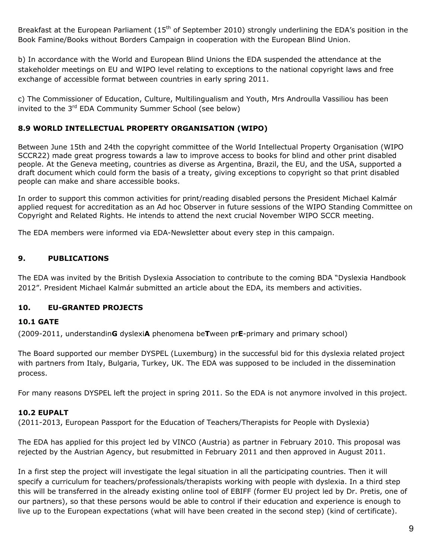Breakfast at the European Parliament (15<sup>th</sup> of September 2010) strongly underlining the EDA's position in the Book Famine/Books without Borders Campaign in cooperation with the European Blind Union.

b) In accordance with the World and European Blind Unions the EDA suspended the attendance at the stakeholder meetings on EU and WIPO level relating to exceptions to the national copyright laws and free exchange of accessible format between countries in early spring 2011.

c) The Commissioner of Education, Culture, Multilingualism and Youth, Mrs Androulla Vassiliou has been invited to the 3<sup>rd</sup> EDA Community Summer School (see below)

### **8.9 WORLD INTELLECTUAL PROPERTY ORGANISATION (WIPO)**

Between June 15th and 24th the copyright committee of the World Intellectual Property Organisation (WIPO SCCR22) made great progress towards a law to improve access to books for blind and other print disabled people. At the Geneva meeting, countries as diverse as Argentina, Brazil, the EU, and the USA, supported a draft document which could form the basis of a treaty, giving exceptions to copyright so that print disabled people can make and share accessible books.

In order to support this common activities for print/reading disabled persons the President Michael Kalmár applied request for accreditation as an Ad hoc Observer in future sessions of the WIPO Standing Committee on Copyright and Related Rights. He intends to attend the next crucial November WIPO SCCR meeting.

The EDA members were informed via EDA-Newsletter about every step in this campaign.

## **9. PUBLICATIONS**

The EDA was invited by the British Dyslexia Association to contribute to the coming BDA "Dyslexia Handbook 2012". President Michael Kalmár submitted an article about the EDA, its members and activities.

## **10. EU-GRANTED PROJECTS**

### **10.1 GATE**

(2009-2011, understandin**G** dyslexi**A** phenomena be**T**ween pr**E**-primary and primary school)

The Board supported our member DYSPEL (Luxemburg) in the successful bid for this dyslexia related project with partners from Italy, Bulgaria, Turkey, UK. The EDA was supposed to be included in the dissemination process.

For many reasons DYSPEL left the project in spring 2011. So the EDA is not anymore involved in this project.

### **10.2 EUPALT**

(2011-2013, European Passport for the Education of Teachers/Therapists for People with Dyslexia)

The EDA has applied for this project led by VINCO (Austria) as partner in February 2010. This proposal was rejected by the Austrian Agency, but resubmitted in February 2011 and then approved in August 2011.

In a first step the project will investigate the legal situation in all the participating countries. Then it will specify a curriculum for teachers/professionals/therapists working with people with dyslexia. In a third step this will be transferred in the already existing online tool of EBIFF (former EU project led by Dr. Pretis, one of our partners), so that these persons would be able to control if their education and experience is enough to live up to the European expectations (what will have been created in the second step) (kind of certificate).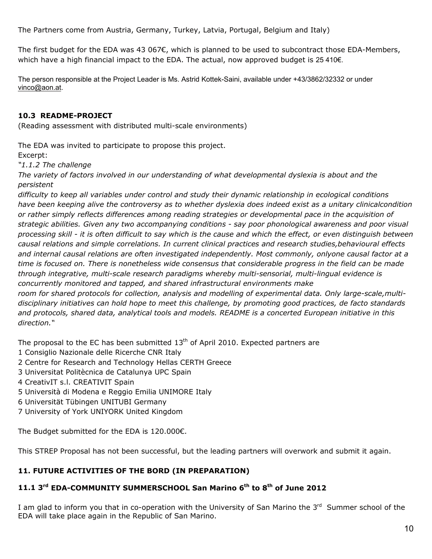The Partners come from Austria, Germany, Turkey, Latvia, Portugal, Belgium and Italy)

The first budget for the EDA was 43 067€, which is planned to be used to subcontract those EDA-Members, which have a high financial impact to the EDA. The actual, now approved budget is 25 410€.

The person responsible at the Project Leader is Ms. Astrid Kottek-Saini, available under +43/3862/32332 or under [vinco@aon.at.](mailto:vinco@aon.at)

### **10.3 README-PROJECT**

(Reading assessment with distributed multi-scale environments)

The EDA was invited to participate to propose this project.

Excerpt:

*"1.1.2 The challenge* 

*The variety of factors involved in our understanding of what developmental dyslexia is about and the persistent* 

*difficulty to keep all variables under control and study their dynamic relationship in ecological conditions have been keeping alive the controversy as to whether dyslexia does indeed exist as a unitary clinicalcondition or rather simply reflects differences among reading strategies or developmental pace in the acquisition of strategic abilities. Given any two accompanying conditions - say poor phonological awareness and poor visual processing skill - it is often difficult to say which is the cause and which the effect, or even distinguish between causal relations and simple correlations. In current clinical practices and research studies,behavioural effects and internal causal relations are often investigated independently. Most commonly, onlyone causal factor at a time is focused on. There is nonetheless wide consensus that considerable progress in the field can be made through integrative, multi-scale research paradigms whereby multi-sensorial, multi-lingual evidence is concurrently monitored and tapped, and shared infrastructural environments make room for shared protocols for collection, analysis and modelling of experimental data. Only large-scale,multidisciplinary initiatives can hold hope to meet this challenge, by promoting good practices, de facto standards* 

*and protocols, shared data, analytical tools and models. README is a concerted European initiative in this direction."* 

The proposal to the EC has been submitted  $13<sup>th</sup>$  of April 2010. Expected partners are

- 1 Consiglio Nazionale delle Ricerche CNR Italy
- 2 Centre for Research and Technology Hellas CERTH Greece
- 3 Universitat Politècnica de Catalunya UPC Spain
- 4 CreativIT s.l. CREATIVIT Spain
- 5 Università di Modena e Reggio Emilia UNIMORE Italy
- 6 Universität Tübingen UNITUBI Germany
- 7 University of York UNIYORK United Kingdom

The Budget submitted for the EDA is 120.000€.

This STREP Proposal has not been successful, but the leading partners will overwork and submit it again.

# **11. FUTURE ACTIVITIES OF THE BORD (IN PREPARATION)**

# **11.1 3rd EDA-COMMUNITY SUMMERSCHOOL San Marino 6th to 8th of June 2012**

I am glad to inform you that in co-operation with the University of San Marino the 3<sup>rd</sup> Summer school of the EDA will take place again in the Republic of San Marino.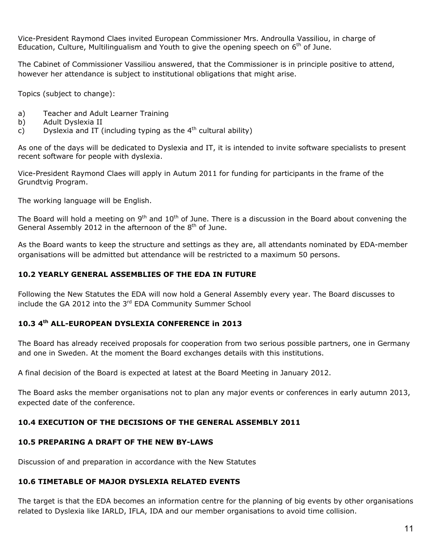Vice-President Raymond Claes invited European Commissioner Mrs. Androulla Vassiliou, in charge of Education, Culture, Multilingualism and Youth to give the opening speech on  $6<sup>th</sup>$  of June.

The Cabinet of Commissioner Vassiliou answered, that the Commissioner is in principle positive to attend, however her attendance is subject to institutional obligations that might arise.

Topics (subject to change):

- a) Teacher and Adult Learner Training
- b) Adult Dyslexia II
- c) Dyslexia and IT (including typing as the  $4<sup>th</sup>$  cultural ability)

As one of the days will be dedicated to Dyslexia and IT, it is intended to invite software specialists to present recent software for people with dyslexia.

Vice-President Raymond Claes will apply in Autum 2011 for funding for participants in the frame of the Grundtvig Program.

The working language will be English.

The Board will hold a meeting on  $9<sup>th</sup>$  and  $10<sup>th</sup>$  of June. There is a discussion in the Board about convening the General Assembly 2012 in the afternoon of the  $8<sup>th</sup>$  of June.

As the Board wants to keep the structure and settings as they are, all attendants nominated by EDA-member organisations will be admitted but attendance will be restricted to a maximum 50 persons.

### **10.2 YEARLY GENERAL ASSEMBLIES OF THE EDA IN FUTURE**

Following the New Statutes the EDA will now hold a General Assembly every year. The Board discusses to include the GA 2012 into the 3<sup>rd</sup> EDA Community Summer School

## **10.3 4th ALL-EUROPEAN DYSLEXIA CONFERENCE in 2013**

The Board has already received proposals for cooperation from two serious possible partners, one in Germany and one in Sweden. At the moment the Board exchanges details with this institutions.

A final decision of the Board is expected at latest at the Board Meeting in January 2012.

The Board asks the member organisations not to plan any major events or conferences in early autumn 2013, expected date of the conference.

### **10.4 EXECUTION OF THE DECISIONS OF THE GENERAL ASSEMBLY 2011**

### **10.5 PREPARING A DRAFT OF THE NEW BY-LAWS**

Discussion of and preparation in accordance with the New Statutes

## **10.6 TIMETABLE OF MAJOR DYSLEXIA RELATED EVENTS**

The target is that the EDA becomes an information centre for the planning of big events by other organisations related to Dyslexia like IARLD, IFLA, IDA and our member organisations to avoid time collision.